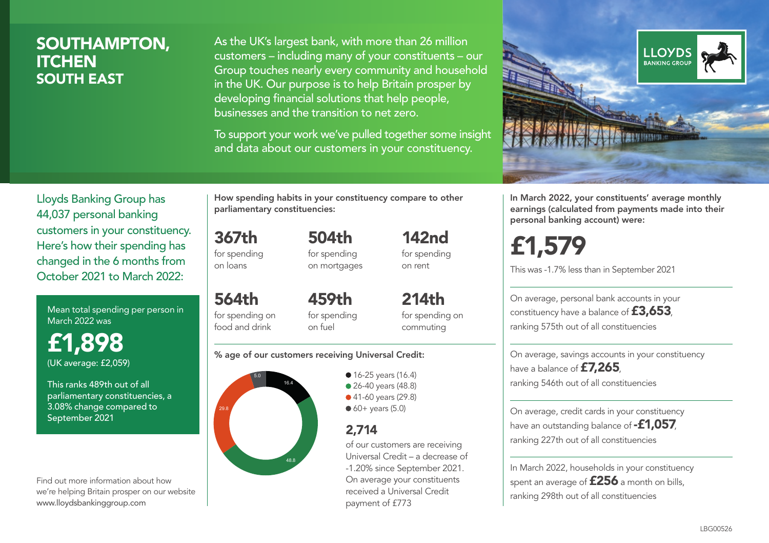### SOUTHAMPTON, **ITCHEN** SOUTH EAST

As the UK's largest bank, with more than 26 million customers – including many of your constituents – our Group touches nearly every community and household in the UK. Our purpose is to help Britain prosper by developing financial solutions that help people, businesses and the transition to net zero.

To support your work we've pulled together some insight and data about our customers in your constituency.



Lloyds Banking Group has 44,037 personal banking customers in your constituency. Here's how their spending has changed in the 6 months from October 2021 to March 2022:

Mean total spending per person in March 2022 was

£1,898 (UK average: £2,059)

This ranks 489th out of all parliamentary constituencies, a 3.08% change compared to September 2021

Find out more information about how we're helping Britain prosper on our website www.lloydsbankinggroup.com

How spending habits in your constituency compare to other parliamentary constituencies:

367th for spending 504th

on loans

564th for spending on food and drink

for spending on mortgages 142nd

for spending on rent

459th for spending on fuel

214th for spending on commuting

#### % age of our customers receiving Universal Credit:



• 16-25 years (16.4) ● 26-40 years (48.8) ● 41-60 years (29.8)  $60+$  years (5.0)

### 2,714

of our customers are receiving Universal Credit – a decrease of -1.20% since September 2021. On average your constituents received a Universal Credit payment of £773

In March 2022, your constituents' average monthly earnings (calculated from payments made into their personal banking account) were:

£1,579

This was -1.7% less than in September 2021

On average, personal bank accounts in your constituency have a balance of £3,653, ranking 575th out of all constituencies

On average, savings accounts in your constituency have a balance of **£7,265** ranking 546th out of all constituencies

On average, credit cards in your constituency have an outstanding balance of **-£1,057** ranking 227th out of all constituencies

In March 2022, households in your constituency spent an average of £256 a month on bills, ranking 298th out of all constituencies